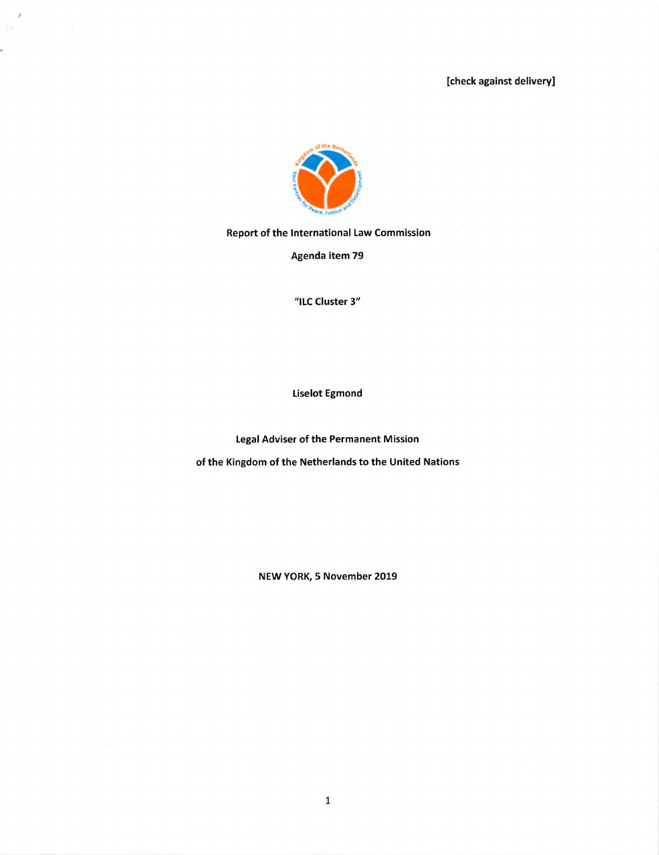

 $\mathcal{O}$ 

s.

Report of the International Law Commission

Agenda item 79

"ILC Cluster 3"

Liselot Egmond

Legal Adviser of the Permanent Mission

of the Kingdom of the Netherlands to the United Nations

NEW YORK, 5 November 2019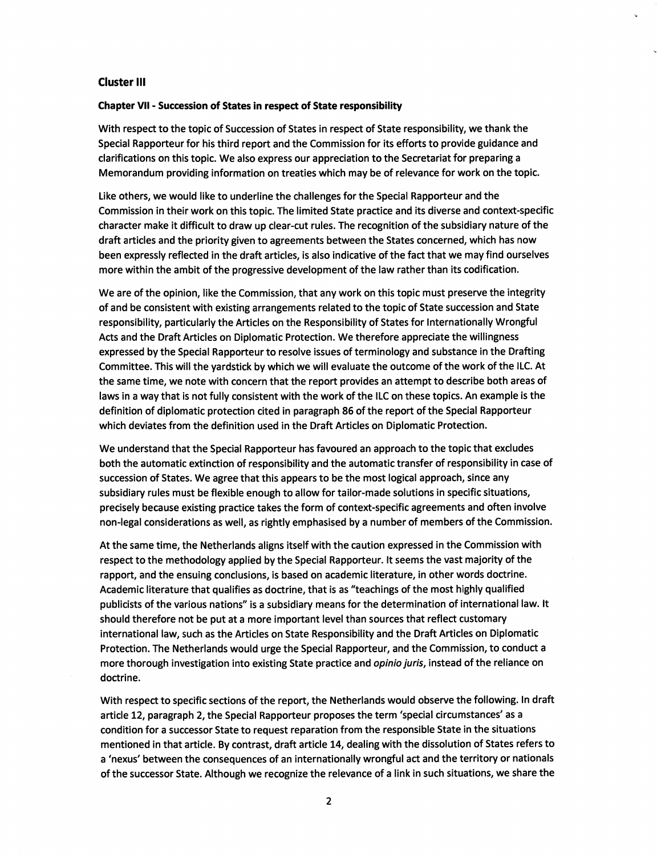## Cluster ill

## Chapter VII - Succession of States in respect of State responsibility

With respect to the topic of Succession of States in respect of State responsibility, we thank the Special Rapporteur for his third report and the Commission for its efforts to provide guidance and clarifications on this topic. We also express our appreciation to the Secretariat for preparing a Memorandum providing information on treaties which may be of relevance for work on the topic.

Like others, we would like to underline the challenges for the Special Rapporteur and the Commission in their work on this topic. The limited State practice and its diverse and context-specific character make it difficult to draw up clear-cut rules. The recognition of the subsidiary nature of the draft articles and the priority given to agreements between the States concerned, which has now been expressly reflected in the draft articles, is also indicative of the fact that we may find ourselves more within the ambit of the progressive development of the law rather than its codification.

We are of the opinion, like the Commission, that any work on this topic must preserve the integrity of and be consistent with existing arrangements related to the topic of State succession and State responsibility, particularly the Articles on the Responsibility of States for Internationally Wrongful Acts and the Draft Articles on Diplomatic Protection. We therefore appreciate the willingness expressed by the Special Rapporteur to resolve issues of terminology and substance in the Drafting Committee. This will the yardstick by which we will evaluate the outcome of the work of the ILC. At the same time, we note with concern that the report provides an attempt to describe both areas of laws in a way that is not fully consistent with the work of the ILC on these topics. An example is the definition of diplomatic protection cited in paragraph 86 of the report of the Special Rapporteur which deviates from the definition used in the Draft Articles on Diplomatic Protection.

We understand that the Special Rapporteur has favoured an approach to the topic that excludes both the automatic extinction of responsibility and the automatic transfer of responsibility in case of succession of States. We agree that this appears to be the most logical approach, since any subsidiary rules must be flexible enough to allow for tailor-made solutions in specific situations, precisely because existing practice takes the form of context-specific agreements and often involve non-legal considerations as weil, as rightly emphasised by a number of members of the Commission.

At the same time, the Netherlands aligns itself with the caution expressed in the Commission with respect to the methodology applied by the Special Rapporteur. It seems the vast majority of the rapport, and the ensuing conclusions, is based on academic literature, in other words doctrine. Academic literature that qualifies as doctrine, that is as "teachings of the most highly qualified publicists of the various nations" is a subsidiary means for the determination of international law. It should therefore not be put at a more important level than sources that reflect customary international law, such as the Articles on State Responsibility and the Draft Articles on Diplomatic Protection. The Netherlands would urge the Special Rapporteur, and the Commission, to conduct a more thorough investigation into existing State practice and opinio juris, instead of the reliance on doctrine.

With respect to specific sections of the report, the Netherlands would observe the following. In draft article 12, paragraph 2, the Special Rapporteur proposes the term 'special circumstances' as a condition for a successor State to request reparation from the responsible State in the situations mentioned in that article. By contrast, draft article 14, dealing with the dissolution of States refers to a 'nexus' between the consequences of an internationally wrongful act and the territory or nationals of the successor State. Although we recognize the relevance of a link in such situations, we share the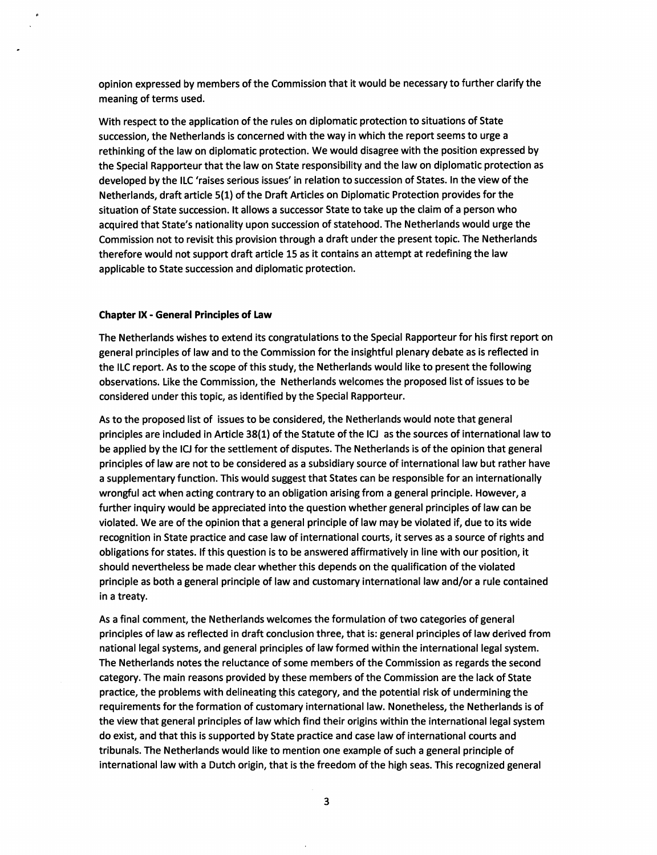opinion expressed by members of the Commission that it wouid be necessary to further clarify the meaning of terms used.

With respect to the application of the rules on diplomatic protection to situations of State succession, the Netherlands is concerned with the way in which the report seems to urge a rethinking of the law on diplomatic protection. We would disagree with the position expressed by the Special Rapporteur that the law on State responsibility and the law on diplomatic protection as developed by the ILC 'raises serious issues' in relation to succession of States. In the view of the Netherlands, draft article 5(1) of the Draft Articles on Diplomatic Protection provides for the situation of State succession. It allows a successor State to take up the claim of a person who acquired that State's nationality upon succession of statehood. The Netherlands wouid urge the Commission not to revisit this provision through a draft under the present topic. The Netherlands therefore wouid not support draft article 15 as it contains an attempt at redefining the law applicable to State succession and diplomatic protection.

## Chapter IX • General Principles of Law

The Netherlands wishes to extend its congratulations to the Special Rapporteur for his first report on general principles of law and to the Commission for the insightful plenary debate as is reflected in the ILC report. As to the scope of this study, the Netherlands would like to present the following observations. Like the Commission, the Netherlands welcomes the proposed list of issues to be considered under this topic, as identified by the Special Rapporteur.

As to the proposed list of issues to be considered, the Netherlands wouid note that general principles are included in Article 38(1) of the Statute of the IG as the sources of international law to be applied by the IG for the settlement of disputes. The Netherlands is of the opinion that general principles of law are not to be considered as a subsidiary source of international law but rather have a supplementary function. This wouid suggest that States can be responsible for an internationally wrongful act when acting contrary to an obligation arising from a general principle. However, a further inquiry wouid be appreciated into the question whether general principles of law can be violated. We are of the opinion that a general principle of law may be violated if, due to its wide recognition in State practice and case law of international courts, it serves as a source of rights and obligations for states, if this question is to be answered affirmatively in line with our position, it should nevertheless be made dear whether this depends on the qualification of the violated principle as both a general principle of law and customary international law and/or a rule contained in a treaty.

As a final comment, the Netherlands welcomes the formulation of two categories of general principles of law as reflected in draft conclusion three, that is: general principles of law derived from national legal systems, and general principles of law formed within the international legal system. The Netherlands notes the reluctance of some members of the Commission as regards the second category. The main reasons provided by these members of the Commission are the lack of State practice, the problems with delineating this category, and the potential risk of undermining the requirements for the formation of customary international law. Nonetheless, the Netherlands is of the view that general principles of law which find their origins within the international legal system do exist, and that this is supported by State practice and case law of international courts and tribunals. The Netherlands wouid like to mention one example of such a general principle of international law with a Dutch origin, that is the freedom of the high seas. This recognized general